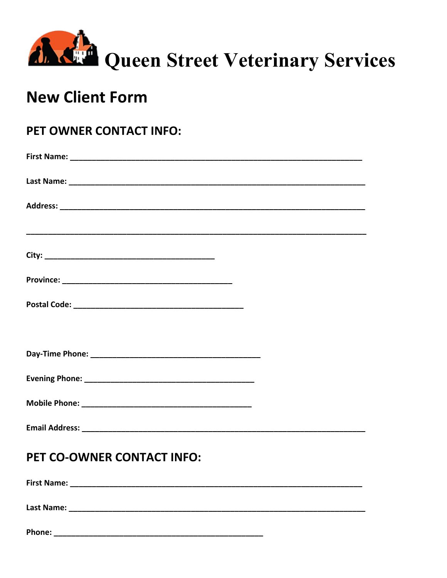

## **New Client Form**

## PET OWNER CONTACT INFO:

## PET CO-OWNER CONTACT INFO:

| <b>First Name:</b> |  |  |  |
|--------------------|--|--|--|
| <b>Last Name:</b>  |  |  |  |
| Phone:             |  |  |  |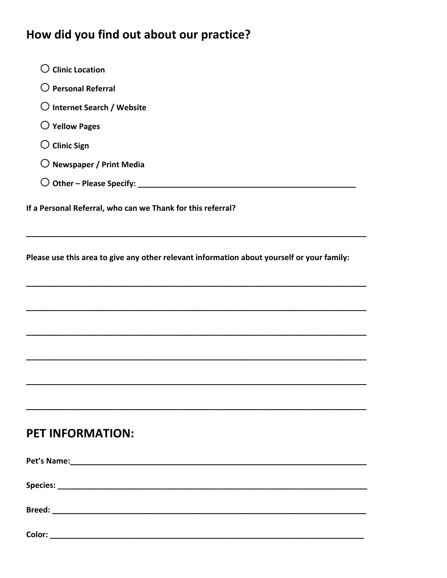## How did you find out about our practice?

| $\bigcirc$ Clinic Location                                                                 |
|--------------------------------------------------------------------------------------------|
| $\bigcirc$ Personal Referral                                                               |
| $\bigcirc$ Internet Search / Website                                                       |
| $\bigcirc$ Yellow Pages                                                                    |
| $\bigcirc$ Clinic Sign                                                                     |
| $\bigcirc$ Newspaper / Print Media                                                         |
|                                                                                            |
| If a Personal Referral, who can we Thank for this referral?                                |
| Please use this area to give any other relevant information about yourself or your family: |
|                                                                                            |
|                                                                                            |
|                                                                                            |
|                                                                                            |
|                                                                                            |
| <b>PET INFORMATION:</b>                                                                    |
|                                                                                            |
|                                                                                            |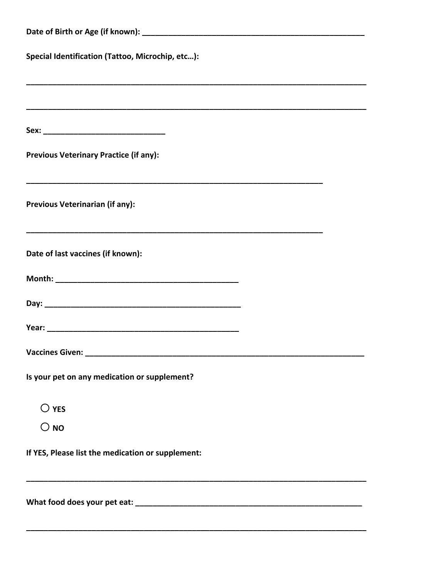| Special Identification (Tattoo, Microchip, etc):  |  |  |  |  |
|---------------------------------------------------|--|--|--|--|
|                                                   |  |  |  |  |
|                                                   |  |  |  |  |
| <b>Previous Veterinary Practice (if any):</b>     |  |  |  |  |
| Previous Veterinarian (if any):                   |  |  |  |  |
| Date of last vaccines (if known):                 |  |  |  |  |
|                                                   |  |  |  |  |
|                                                   |  |  |  |  |
|                                                   |  |  |  |  |
| Vaccines Given: _____                             |  |  |  |  |
| Is your pet on any medication or supplement?      |  |  |  |  |
| $\bigcirc$ yes                                    |  |  |  |  |
| $\bigcirc$ NO                                     |  |  |  |  |
| If YES, Please list the medication or supplement: |  |  |  |  |
|                                                   |  |  |  |  |